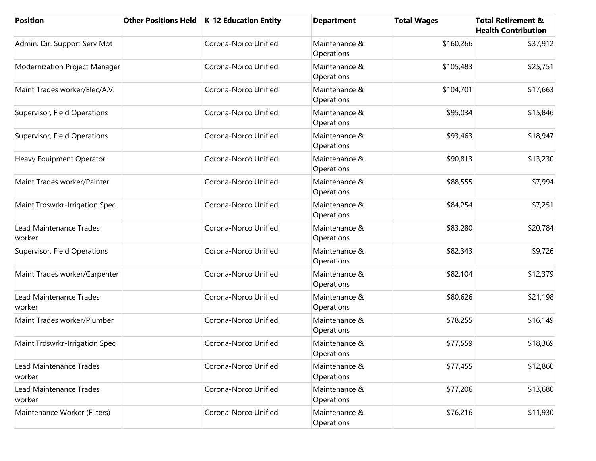| <b>Position</b>                          | <b>Other Positions Held</b> | K-12 Education Entity | <b>Department</b>           | <b>Total Wages</b> | <b>Total Retirement &amp;</b><br><b>Health Contribution</b> |
|------------------------------------------|-----------------------------|-----------------------|-----------------------------|--------------------|-------------------------------------------------------------|
| Admin. Dir. Support Serv Mot             |                             | Corona-Norco Unified  | Maintenance &<br>Operations | \$160,266          | \$37,912                                                    |
| Modernization Project Manager            |                             | Corona-Norco Unified  | Maintenance &<br>Operations | \$105,483          | \$25,751                                                    |
| Maint Trades worker/Elec/A.V.            |                             | Corona-Norco Unified  | Maintenance &<br>Operations | \$104,701          | \$17,663                                                    |
| Supervisor, Field Operations             |                             | Corona-Norco Unified  | Maintenance &<br>Operations | \$95,034           | \$15,846                                                    |
| Supervisor, Field Operations             |                             | Corona-Norco Unified  | Maintenance &<br>Operations | \$93,463           | \$18,947                                                    |
| Heavy Equipment Operator                 |                             | Corona-Norco Unified  | Maintenance &<br>Operations | \$90,813           | \$13,230                                                    |
| Maint Trades worker/Painter              |                             | Corona-Norco Unified  | Maintenance &<br>Operations | \$88,555           | \$7,994                                                     |
| Maint.Trdswrkr-Irrigation Spec           |                             | Corona-Norco Unified  | Maintenance &<br>Operations | \$84,254           | \$7,251                                                     |
| <b>Lead Maintenance Trades</b><br>worker |                             | Corona-Norco Unified  | Maintenance &<br>Operations | \$83,280           | \$20,784                                                    |
| Supervisor, Field Operations             |                             | Corona-Norco Unified  | Maintenance &<br>Operations | \$82,343           | \$9,726                                                     |
| Maint Trades worker/Carpenter            |                             | Corona-Norco Unified  | Maintenance &<br>Operations | \$82,104           | \$12,379                                                    |
| Lead Maintenance Trades<br>worker        |                             | Corona-Norco Unified  | Maintenance &<br>Operations | \$80,626           | \$21,198                                                    |
| Maint Trades worker/Plumber              |                             | Corona-Norco Unified  | Maintenance &<br>Operations | \$78,255           | \$16,149                                                    |
| Maint.Trdswrkr-Irrigation Spec           |                             | Corona-Norco Unified  | Maintenance &<br>Operations | \$77,559           | \$18,369                                                    |
| Lead Maintenance Trades<br>worker        |                             | Corona-Norco Unified  | Maintenance &<br>Operations | \$77,455           | \$12,860                                                    |
| Lead Maintenance Trades<br>worker        |                             | Corona-Norco Unified  | Maintenance &<br>Operations | \$77,206           | \$13,680                                                    |
| Maintenance Worker (Filters)             |                             | Corona-Norco Unified  | Maintenance &<br>Operations | \$76,216           | \$11,930                                                    |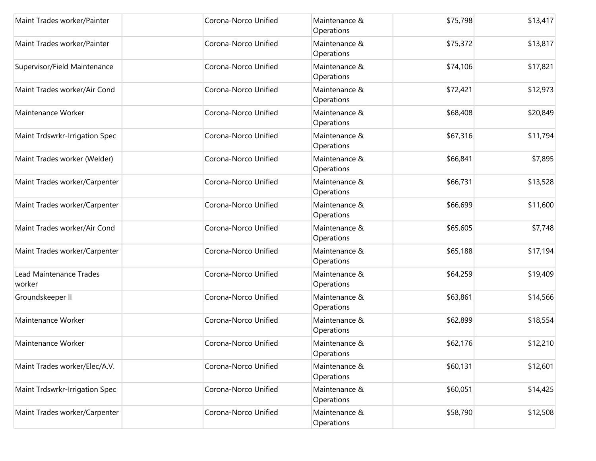| Maint Trades worker/Painter              | Corona-Norco Unified | Maintenance &<br>Operations | \$75,798 | \$13,417 |
|------------------------------------------|----------------------|-----------------------------|----------|----------|
| Maint Trades worker/Painter              | Corona-Norco Unified | Maintenance &<br>Operations | \$75,372 | \$13,817 |
| Supervisor/Field Maintenance             | Corona-Norco Unified | Maintenance &<br>Operations | \$74,106 | \$17,821 |
| Maint Trades worker/Air Cond             | Corona-Norco Unified | Maintenance &<br>Operations | \$72,421 | \$12,973 |
| Maintenance Worker                       | Corona-Norco Unified | Maintenance &<br>Operations | \$68,408 | \$20,849 |
| Maint Trdswrkr-Irrigation Spec           | Corona-Norco Unified | Maintenance &<br>Operations | \$67,316 | \$11,794 |
| Maint Trades worker (Welder)             | Corona-Norco Unified | Maintenance &<br>Operations | \$66,841 | \$7,895  |
| Maint Trades worker/Carpenter            | Corona-Norco Unified | Maintenance &<br>Operations | \$66,731 | \$13,528 |
| Maint Trades worker/Carpenter            | Corona-Norco Unified | Maintenance &<br>Operations | \$66,699 | \$11,600 |
| Maint Trades worker/Air Cond             | Corona-Norco Unified | Maintenance &<br>Operations | \$65,605 | \$7,748  |
| Maint Trades worker/Carpenter            | Corona-Norco Unified | Maintenance &<br>Operations | \$65,188 | \$17,194 |
| <b>Lead Maintenance Trades</b><br>worker | Corona-Norco Unified | Maintenance &<br>Operations | \$64,259 | \$19,409 |
| Groundskeeper II                         | Corona-Norco Unified | Maintenance &<br>Operations | \$63,861 | \$14,566 |
| Maintenance Worker                       | Corona-Norco Unified | Maintenance &<br>Operations | \$62,899 | \$18,554 |
| Maintenance Worker                       | Corona-Norco Unified | Maintenance &<br>Operations | \$62,176 | \$12,210 |
| Maint Trades worker/Elec/A.V.            | Corona-Norco Unified | Maintenance &<br>Operations | \$60,131 | \$12,601 |
| Maint Trdswrkr-Irrigation Spec           | Corona-Norco Unified | Maintenance &<br>Operations | \$60,051 | \$14,425 |
| Maint Trades worker/Carpenter            | Corona-Norco Unified | Maintenance &<br>Operations | \$58,790 | \$12,508 |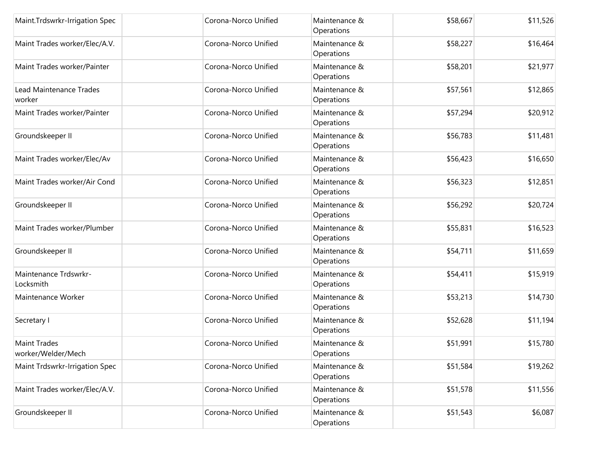| Maint.Trdswrkr-Irrigation Spec            | Corona-Norco Unified | Maintenance &<br>Operations | \$58,667 | \$11,526 |
|-------------------------------------------|----------------------|-----------------------------|----------|----------|
| Maint Trades worker/Elec/A.V.             | Corona-Norco Unified | Maintenance &<br>Operations | \$58,227 | \$16,464 |
| Maint Trades worker/Painter               | Corona-Norco Unified | Maintenance &<br>Operations | \$58,201 | \$21,977 |
| <b>Lead Maintenance Trades</b><br>worker  | Corona-Norco Unified | Maintenance &<br>Operations | \$57,561 | \$12,865 |
| Maint Trades worker/Painter               | Corona-Norco Unified | Maintenance &<br>Operations | \$57,294 | \$20,912 |
| Groundskeeper II                          | Corona-Norco Unified | Maintenance &<br>Operations | \$56,783 | \$11,481 |
| Maint Trades worker/Elec/Av               | Corona-Norco Unified | Maintenance &<br>Operations | \$56,423 | \$16,650 |
| Maint Trades worker/Air Cond              | Corona-Norco Unified | Maintenance &<br>Operations | \$56,323 | \$12,851 |
| Groundskeeper II                          | Corona-Norco Unified | Maintenance &<br>Operations | \$56,292 | \$20,724 |
| Maint Trades worker/Plumber               | Corona-Norco Unified | Maintenance &<br>Operations | \$55,831 | \$16,523 |
| Groundskeeper II                          | Corona-Norco Unified | Maintenance &<br>Operations | \$54,711 | \$11,659 |
| Maintenance Trdswrkr-<br>Locksmith        | Corona-Norco Unified | Maintenance &<br>Operations | \$54,411 | \$15,919 |
| Maintenance Worker                        | Corona-Norco Unified | Maintenance &<br>Operations | \$53,213 | \$14,730 |
| Secretary I                               | Corona-Norco Unified | Maintenance &<br>Operations | \$52,628 | \$11,194 |
| <b>Maint Trades</b><br>worker/Welder/Mech | Corona-Norco Unified | Maintenance &<br>Operations | \$51,991 | \$15,780 |
| Maint Trdswrkr-Irrigation Spec            | Corona-Norco Unified | Maintenance &<br>Operations | \$51,584 | \$19,262 |
| Maint Trades worker/Elec/A.V.             | Corona-Norco Unified | Maintenance &<br>Operations | \$51,578 | \$11,556 |
| Groundskeeper II                          | Corona-Norco Unified | Maintenance &<br>Operations | \$51,543 | \$6,087  |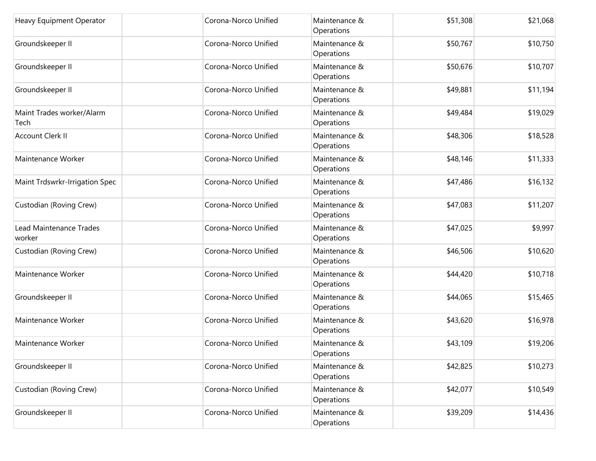| Heavy Equipment Operator          | Corona-Norco Unified | Maintenance &<br>Operations | \$51,308 | \$21,068 |
|-----------------------------------|----------------------|-----------------------------|----------|----------|
| Groundskeeper II                  | Corona-Norco Unified | Maintenance &<br>Operations | \$50,767 | \$10,750 |
| Groundskeeper II                  | Corona-Norco Unified | Maintenance &<br>Operations | \$50,676 | \$10,707 |
| Groundskeeper II                  | Corona-Norco Unified | Maintenance &<br>Operations | \$49,881 | \$11,194 |
| Maint Trades worker/Alarm<br>Tech | Corona-Norco Unified | Maintenance &<br>Operations | \$49,484 | \$19,029 |
| <b>Account Clerk II</b>           | Corona-Norco Unified | Maintenance &<br>Operations | \$48,306 | \$18,528 |
| Maintenance Worker                | Corona-Norco Unified | Maintenance &<br>Operations | \$48,146 | \$11,333 |
| Maint Trdswrkr-Irrigation Spec    | Corona-Norco Unified | Maintenance &<br>Operations | \$47,486 | \$16,132 |
| Custodian (Roving Crew)           | Corona-Norco Unified | Maintenance &<br>Operations | \$47,083 | \$11,207 |
| Lead Maintenance Trades<br>worker | Corona-Norco Unified | Maintenance &<br>Operations | \$47,025 | \$9,997  |
| Custodian (Roving Crew)           | Corona-Norco Unified | Maintenance &<br>Operations | \$46,506 | \$10,620 |
| Maintenance Worker                | Corona-Norco Unified | Maintenance &<br>Operations | \$44,420 | \$10,718 |
| Groundskeeper II                  | Corona-Norco Unified | Maintenance &<br>Operations | \$44,065 | \$15,465 |
| Maintenance Worker                | Corona-Norco Unified | Maintenance &<br>Operations | \$43,620 | \$16,978 |
| Maintenance Worker                | Corona-Norco Unified | Maintenance &<br>Operations | \$43,109 | \$19,206 |
| Groundskeeper II                  | Corona-Norco Unified | Maintenance &<br>Operations | \$42,825 | \$10,273 |
| Custodian (Roving Crew)           | Corona-Norco Unified | Maintenance &<br>Operations | \$42,077 | \$10,549 |
| Groundskeeper II                  | Corona-Norco Unified | Maintenance &<br>Operations | \$39,209 | \$14,436 |